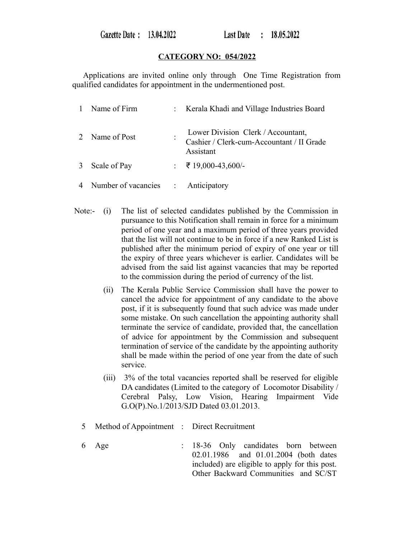Gazette Date: 13.04.2022

## **CATEGORY NO: 054/2022**

 Applications are invited online only through One Time Registration from qualified candidates for appointment in the undermentioned post.

| Name of Firm                         | : Kerala Khadi and Village Industries Board                                                  |
|--------------------------------------|----------------------------------------------------------------------------------------------|
| 2 Name of Post                       | Lower Division Clerk / Accountant,<br>Cashier / Clerk-cum-Accountant / II Grade<br>Assistant |
| 3 Scale of Pay                       | : ₹ 19,000-43,600/-                                                                          |
| 4 Number of vacancies : Anticipatory |                                                                                              |

- Note:- (i) The list of selected candidates published by the Commission in pursuance to this Notification shall remain in force for a minimum period of one year and a maximum period of three years provided that the list will not continue to be in force if a new Ranked List is published after the minimum period of expiry of one year or till the expiry of three years whichever is earlier. Candidates will be advised from the said list against vacancies that may be reported to the commission during the period of currency of the list.
	- (ii) The Kerala Public Service Commission shall have the power to cancel the advice for appointment of any candidate to the above post, if it is subsequently found that such advice was made under some mistake. On such cancellation the appointing authority shall terminate the service of candidate, provided that, the cancellation of advice for appointment by the Commission and subsequent termination of service of the candidate by the appointing authority shall be made within the period of one year from the date of such service.
	- (iii) 3% of the total vacancies reported shall be reserved for eligible DA candidates (Limited to the category of Locomotor Disability / Cerebral Palsy, Low Vision, Hearing Impairment Vide G.O(P).No.1/2013/SJD Dated 03.01.2013.
	- 5 Method of Appointment : Direct Recruitment
	- 6 Age : 18-36 Only candidates born between 02.01.1986 and 01.01.2004 (both dates included) are eligible to apply for this post. Other Backward Communities and SC/ST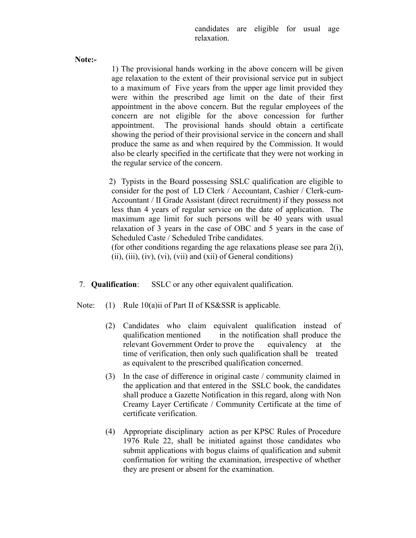candidates are eligible for usual age relaxation.

**Note:-** 

1) The provisional hands working in the above concern will be given age relaxation to the extent of their provisional service put in subject to a maximum of Five years from the upper age limit provided they were within the prescribed age limit on the date of their first appointment in the above concern. But the regular employees of the concern are not eligible for the above concession for further appointment. The provisional hands should obtain a certificate showing the period of their provisional service in the concern and shall produce the same as and when required by the Commission. It would also be clearly specified in the certificate that they were not working in the regular service of the concern.

 2) Typists in the Board possessing SSLC qualification are eligible to consider for the post of LD Clerk / Accountant, Cashier / Clerk-cum-Accountant / II Grade Assistant (direct recruitment) if they possess not less than 4 years of regular service on the date of application. The maximum age limit for such persons will be 40 years with usual relaxation of 3 years in the case of OBC and 5 years in the case of Scheduled Caste / Scheduled Tribe candidates.

(for other conditions regarding the age relaxations please see para 2(i),  $(ii)$ ,  $(iii)$ ,  $(iv)$ ,  $(vi)$ ,  $(vii)$  and  $(xii)$  of General conditions)

7. **Qualification**: SSLC or any other equivalent qualification.

- Note: (1) Rule 10(a)ii of Part II of KS&SSR is applicable.
	- (2) Candidates who claim equivalent qualification instead of qualification mentioned in the notification shall produce the relevant Government Order to prove the equivalency at the time of verification, then only such qualification shall be treated as equivalent to the prescribed qualification concerned.
	- (3) In the case of difference in original caste / community claimed in the application and that entered in the SSLC book, the candidates shall produce a Gazette Notification in this regard, along with Non Creamy Layer Certificate / Community Certificate at the time of certificate verification.
	- (4) Appropriate disciplinary action as per KPSC Rules of Procedure 1976 Rule 22, shall be initiated against those candidates who submit applications with bogus claims of qualification and submit confirmation for writing the examination, irrespective of whether they are present or absent for the examination.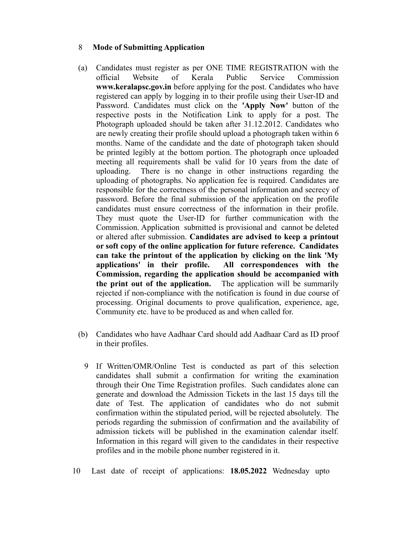## 8 **Mode of Submitting Application**

- (a) Candidates must register as per ONE TIME REGISTRATION with the official Website of Kerala Public Service Commission **www.keralapsc.gov.in** before applying for the post. Candidates who have registered can apply by logging in to their profile using their User-ID and Password. Candidates must click on the **'Apply Now'** button of the respective posts in the Notification Link to apply for a post. The Photograph uploaded should be taken after 31.12.2012. Candidates who are newly creating their profile should upload a photograph taken within 6 months. Name of the candidate and the date of photograph taken should be printed legibly at the bottom portion. The photograph once uploaded meeting all requirements shall be valid for 10 years from the date of uploading. There is no change in other instructions regarding the uploading of photographs. No application fee is required. Candidates are responsible for the correctness of the personal information and secrecy of password. Before the final submission of the application on the profile candidates must ensure correctness of the information in their profile. They must quote the User-ID for further communication with the Commission. Application submitted is provisional and cannot be deleted or altered after submission. **Candidates are advised to keep a printout or soft copy of the online application for future reference. Candidates can take the printout of the application by clicking on the link 'My applications' in their profile. All correspondences with the Commission, regarding the application should be accompanied with the print out of the application.** The application will be summarily rejected if non-compliance with the notification is found in due course of processing. Original documents to prove qualification, experience, age, Community etc. have to be produced as and when called for.
- (b) Candidates who have Aadhaar Card should add Aadhaar Card as ID proof in their profiles.
	- 9 If Written/OMR/Online Test is conducted as part of this selection candidates shall submit a confirmation for writing the examination through their One Time Registration profiles. Such candidates alone can generate and download the Admission Tickets in the last 15 days till the date of Test. The application of candidates who do not submit confirmation within the stipulated period, will be rejected absolutely. The periods regarding the submission of confirmation and the availability of admission tickets will be published in the examination calendar itself. Information in this regard will given to the candidates in their respective profiles and in the mobile phone number registered in it.
- 10 Last date of receipt of applications: **18.05.2022** Wednesday upto